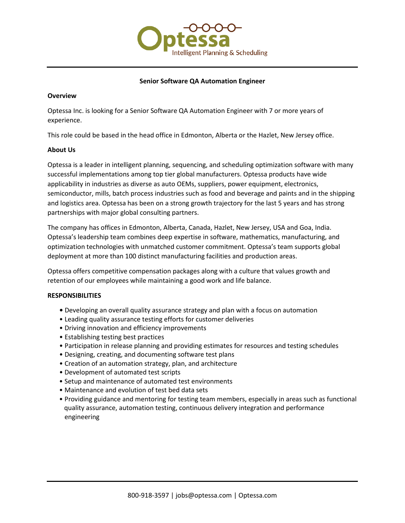

# **Senior Software QA Automation Engineer**

### **Overview**

Optessa Inc. is looking for a Senior Software QA Automation Engineer with 7 or more years of experience.

This role could be based in the head office in Edmonton, Alberta or the Hazlet, New Jersey office.

### **About Us**

Optessa is a leader in intelligent planning, sequencing, and scheduling optimization software with many successful implementations among top tier global manufacturers. Optessa products have wide applicability in industries as diverse as auto OEMs, suppliers, power equipment, electronics, semiconductor, mills, batch process industries such as food and beverage and paints and in the shipping and logistics area. Optessa has been on a strong growth trajectory for the last 5 years and has strong partnerships with major global consulting partners.

The company has offices in Edmonton, Alberta, Canada, Hazlet, New Jersey, USA and Goa, India. Optessa's leadership team combines deep expertise in software, mathematics, manufacturing, and optimization technologies with unmatched customer commitment. Optessa's team supports global deployment at more than 100 distinct manufacturing facilities and production areas.

Optessa offers competitive compensation packages along with a culture that values growth and retention of our employees while maintaining a good work and life balance.

#### **RESPONSIBILITIES**

- **•** Developing an overall quality assurance strategy and plan with a focus on automation
- Leading quality assurance testing efforts for customer deliveries
- Driving innovation and efficiency improvements
- Establishing testing best practices
- Participation in release planning and providing estimates for resources and testing schedules
- Designing, creating, and documenting software test plans
- Creation of an automation strategy, plan, and architecture
- Development of automated test scripts
- Setup and maintenance of automated test environments
- Maintenance and evolution of test bed data sets
- Providing guidance and mentoring for testing team members, especially in areas such as functional quality assurance, automation testing, continuous delivery integration and performance engineering